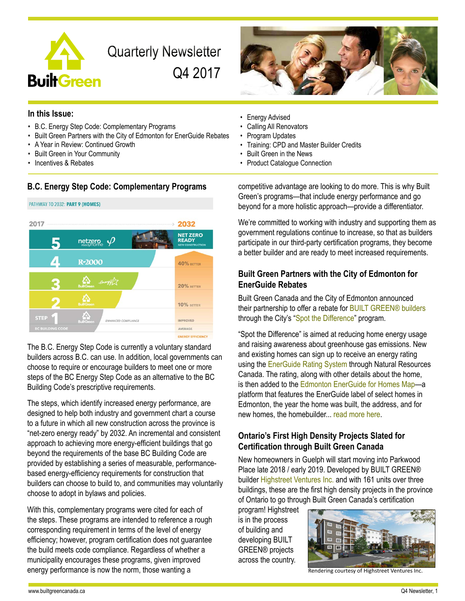

**Quarterly Newsletter** Q4 2017



### **In this Issue:**

- B.C. Energy Step Code: Complementary Programs
- Built Green Partners with the City of Edmonton for EnerGuide Rebates
- A Year in Review: Continued Growth
- Built Green in Your Community
- Incentives & Rebates

## **B.C. Energy Step Code: Complementary Programs**



The B.C. Energy Step Code is currently a voluntary standard builders across B.C. can use. In addition, local governments can choose to require or encourage builders to meet one or more steps of the BC Energy Step Code as an alternative to the BC Building Code's prescriptive requirements.

The steps, which identify increased energy performance, are designed to help both industry and government chart a course to a future in which all new construction across the province is "net-zero energy ready" by 2032. An incremental and consistent approach to achieving more energy-efficient buildings that go beyond the requirements of the base BC Building Code are provided by establishing a series of measurable, performancebased energy-efficiency requirements for construction that builders can choose to build to, and communities may voluntarily choose to adopt in bylaws and policies.

With this, complementary programs were cited for each of the steps. These programs are intended to reference a rough corresponding requirement in terms of the level of energy efficiency; however, program certification does not guarantee the build meets code compliance. Regardless of whether a municipality encourages these programs, given improved energy performance is now the norm, those wanting a

- Energy Advised
- Calling All Renovators
- Program Updates
- Training: CPD and Master Builder Credits
- Built Green in the News
- Product Catalogue Connection

competitive advantage are looking to do more. This is why Built Green's programs—that include energy performance and go beyond for a more holistic approach—provide a differentiator.

We're committed to working with industry and supporting them as government regulations continue to increase, so that as builders participate in our third-party certification programs, they become a better builder and are ready to meet increased requirements.

## **Built Green Partners with the City of Edmonton for EnerGuide Rebates**

Built Green Canada and the City of Edmonton announced their partnership to offer a rebate for **BUILT GREEN®** builders through the City's ["Spot the Difference"](http://ace.edmonton.ca/energuide/) program.

"Spot the Difference" is aimed at reducing home energy usage and raising awareness about greenhouse gas emissions. New and existing homes can sign up to receive an energy rating using the [EnerGuide Rating System](http://www.nrcan.gc.ca/energy/efficiency/housing/home-improvements/5005) through Natural Resources Canada. The rating, along with other details about the home, is then added to the [Edmonton EnerGuide for Homes Map—](http://ace.edmonton.ca/energuide/home-energy-map/)a platform that features the EnerGuide label of select homes in Edmonton, the year the home was built, the address, and for new homes, the homebuilder... [read more here.](http://builtgreencanada.ca/built-green-canada-partners-with-the-city-of-edmonton-for-energuide-rebates?id=1456)

## **Ontario's First High Density Projects Slated for Certification through Built Green Canada**

New homeowners in Guelph will start moving into Parkwood Place late 2018 / early 2019. Developed by BUILT GREEN® builder [Highstreet Ventures Inc.](http://www.highstreetliving.ca) and with 161 units over three buildings, these are the first high density projects in the province of Ontario to go through Built Green Canada's certification

program! Highstreet is in the process of building and developing BUILT GREEN® projects across the country.



Rendering courtesy of Highstreet Ventures Inc.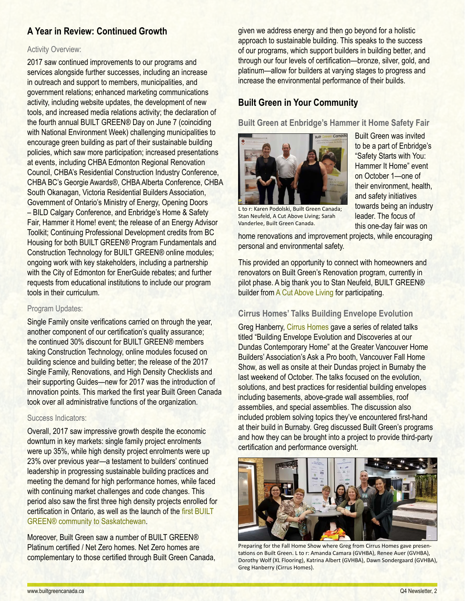# **A Year in Review: Continued Growth**

#### Activity Overview:

2017 saw continued improvements to our programs and services alongside further successes, including an increase in outreach and support to members, municipalities, and government relations; enhanced marketing communications activity, including website updates, the development of new tools, and increased media relations activity; the declaration of the fourth annual BUILT GREEN® Day on June 7 (coinciding with National Environment Week) challenging municipalities to encourage green building as part of their sustainable building policies, which saw more participation; increased presentations at events, including CHBA Edmonton Regional Renovation Council, CHBA's Residential Construction Industry Conference, CHBA BC's Georgie Awards®, CHBA Alberta Conference, CHBA South Okanagan, Victoria Residential Builders Association, Government of Ontario's Ministry of Energy, Opening Doors – BILD Calgary Conference, and Enbridge's Home & Safety Fair, Hammer it Home! event; the release of an Energy Advisor Toolkit; Continuing Professional Development credits from BC Housing for both BUILT GREEN® Program Fundamentals and Construction Technology for BUILT GREEN® online modules; ongoing work with key stakeholders, including a partnership with the City of Edmonton for EnerGuide rebates; and further requests from educational institutions to include our program tools in their curriculum.

### Program Updates:

Single Family onsite verifications carried on through the year, another component of our certification's quality assurance; the continued 30% discount for BUILT GREEN® members taking Construction Technology, online modules focused on building science and building better; the release of the 2017 Single Family, Renovations, and High Density Checklists and their supporting Guides—new for 2017 was the introduction of innovation points. This marked the first year Built Green Canada took over all administrative functions of the organization.

#### Success Indicators:

Overall, 2017 saw impressive growth despite the economic downturn in key markets: single family project enrolments were up 35%, while high density project enrolments were up 23% over previous year—a testament to builders' continued leadership in progressing sustainable building practices and meeting the demand for high performance homes, while faced with continuing market challenges and code changes. This period also saw the first three high density projects enrolled for certification in Ontario, as well as the launch of the [first BUILT](http://www.builtgreencanada.ca/regina-based-developer-brings-first-built-green-community-to-saskatchewan?id=1456)  [GREEN® community to Saskatchewan](http://www.builtgreencanada.ca/regina-based-developer-brings-first-built-green-community-to-saskatchewan?id=1456).

Moreover, Built Green saw a number of BUILT GREEN® Platinum certified / Net Zero homes. Net Zero homes are complementary to those certified through Built Green Canada, given we address energy and then go beyond for a holistic approach to sustainable building. This speaks to the success of our programs, which support builders in building better, and through our four levels of certification—bronze, silver, gold, and platinum—allow for builders at varying stages to progress and increase the environmental performance of their builds.

## **Built Green in Your Community**

**Built Green at Enbridge's Hammer it Home Safety Fair**



L to r: Karen Podolski, Built Green Canada; Stan Neufeld, A Cut Above Living; Sarah Vanderlee, Built Green Canada.

Built Green was invited to be a part of Enbridge's "Safety Starts with You: Hammer It Home" event on October 1—one of their environment, health, and safety initiatives towards being an industry leader. The focus of this one-day fair was on

home renovations and improvement projects, while encouraging personal and environmental safety.

This provided an opportunity to connect with homeowners and renovators on Built Green's Renovation program, currently in pilot phase. A big thank you to Stan Neufeld, BUILT GREEN® builder from [A Cut Above Living](http://acutaboveliving.com/) for participating.

## **Cirrus Homes' Talks Building Envelope Evolution**

Greg Hanberry, [Cirrus Homes](http://cirrushomes.ca/) gave a series of related talks titled "Building Envelope Evolution and Discoveries at our Dundas Contemporary Home" at the Greater Vancouver Home Builders' Association's Ask a Pro booth, Vancouver Fall Home Show, as well as onsite at their Dundas project in Burnaby the last weekend of October. The talks focused on the evolution, solutions, and best practices for residential building envelopes including basements, above-grade wall assemblies, roof assemblies, and special assemblies. The discussion also included problem solving topics they've encountered first-hand at their build in Burnaby. Greg discussed Built Green's programs and how they can be brought into a project to provide third-party certification and performance oversight.



Preparing for the Fall Home Show where Greg from Cirrus Homes gave presentations on Built Green. L to r: Amanda Camara (GVHBA), Renee Auer (GVHBA), Dorothy Wolf (XL Flooring), Katrina Albert (GVHBA), Dawn Sondergaard (GVHBA), Greg Hanberry (Cirrus Homes).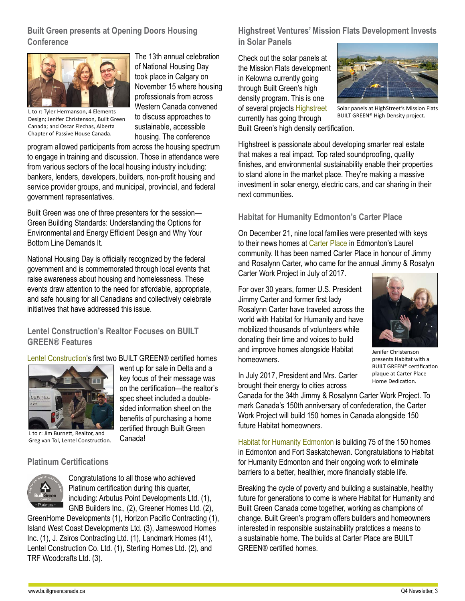## **Built Green presents at Opening Doors Housing Conference**



Design; Jenifer Christenson, Built Green Canada; and Oscar Flechas, Alberta Chapter of Passive House Canada.

The 13th annual celebration of National Housing Day took place in Calgary on November 15 where housing professionals from across Western Canada convened to discuss approaches to sustainable, accessible housing. The conference

program allowed participants from across the housing spectrum to engage in training and discussion. Those in attendance were from various sectors of the local housing industry including: bankers, lenders, developers, builders, non-profit housing and service provider groups, and municipal, provincial, and federal government representatives.

Built Green was one of three presenters for the session— Green Building Standards: Understanding the Options for Environmental and Energy Efficient Design and Why Your Bottom Line Demands It.

National Housing Day is officially recognized by the federal government and is commemorated through local events that raise awareness about housing and homelessness. These events draw attention to the need for affordable, appropriate, and safe housing for all Canadians and collectively celebrate initiatives that have addressed this issue.

## **Lentel Construction's Realtor Focuses on BUILT GREEN® Features**

[Lentel Construction](https://lentelconstruction.com/)'s first two BUILT GREEN® certified homes

went up for sale in Delta and a key focus of their message was on the certification—the realtor's spec sheet included a doublesided information sheet on the benefits of purchasing a home certified through Built Green



L to r: Jim Burnett, Realtor, and Greg van Tol, Lentel Construction.

### **Platinum Certifications**



Congratulations to all those who achieved Platinum certification during this quarter, including: Arbutus Point Developments Ltd. (1), GNB Builders Inc., (2), Greener Homes Ltd. (2),

Canada!

GreenHome Developments (1), Horizon Pacific Contracting (1), Island West Coast Developments Ltd. (3), Jameswood Homes Inc. (1), J. Zsiros Contracting Ltd. (1), Landmark Homes (41), Lentel Construction Co. Ltd. (1), Sterling Homes Ltd. (2), and TRF Woodcrafts Ltd. (3).

**Highstreet Ventures' Mission Flats Development Invests in Solar Panels**

L to r: Tyler Hermanson, 4 Elements<br>Builty of the flat the characters nutrients of the discuss annonaches to the internet of the project. BUILT GREEN® High Density project. Check out the solar panels at the Mission Flats development in Kelowna currently going through Built Green's high density program. This is one of several projects [Highstreet](https://www.highstreetliving.ca/) currently has going through



Solar panels at HighStreet's Mission Flats

Built Green's high density certification.

Highstreet is passionate about developing smarter real estate that makes a real impact. Top rated soundproofing, quality finishes, and environmental sustainability enable their properties to stand alone in the market place. They're making a massive investment in solar energy, electric cars, and car sharing in their next communities.

## **Habitat for Humanity Edmonton's Carter Place**

On December 21, nine local families were presented with keys to their news homes at [Carter Place](https://www.hfh.org/carter-work-project/) in Edmonton's Laurel community. It has been named Carter Place in honour of Jimmy and Rosalynn Carter, who came for the annual Jimmy & Rosalyn

Carter Work Project in July of 2017.

For over 30 years, former U.S. President Jimmy Carter and former first lady Rosalynn Carter have traveled across the world with Habitat for Humanity and have mobilized thousands of volunteers while donating their time and voices to build and improve homes alongside Habitat homeowners.



Jenifer Christenson presents Habitat with a BUILT GREEN® certification plaque at Carter Place Home Dedication.

In July 2017, President and Mrs. Carter brought their energy to cities across

Canada for the 34th Jimmy & Rosalynn Carter Work Project. To mark Canada's 150th anniversary of confederation, the Carter Work Project will build 150 homes in Canada alongside 150 future Habitat homeowners.

[Habitat for Humanity Edmonton](https://www.hfh.org/) is building 75 of the 150 homes in Edmonton and Fort Saskatchewan. Congratulations to Habitat for Humanity Edmonton and their ongoing work to eliminate barriers to a better, healthier, more financially stable life.

Breaking the cycle of poverty and building a sustainable, healthy future for generations to come is where Habitat for Humanity and Built Green Canada come together, working as champions of change. Built Green's program offers builders and homeowners interested in responsible sustainability pratctices a means to a sustainable home. The builds at Carter Place are BUILT GREEN® certified homes.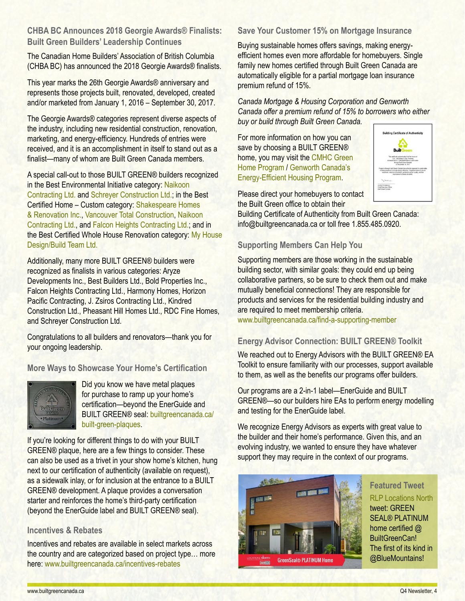## **CHBA BC Announces 2018 Georgie Awards® Finalists: Built Green Builders' Leadership Continues**

The Canadian Home Builders' Association of British Columbia (CHBA BC) has announced the 2018 Georgie Awards® finalists.

This year marks the 26th Georgie Awards® anniversary and represents those projects built, renovated, developed, created and/or marketed from January 1, 2016 – September 30, 2017.

The Georgie Awards® categories represent diverse aspects of the industry, including new residential construction, renovation, marketing, and energy-efficiency. Hundreds of entries were received, and it is an accomplishment in itself to stand out as a finalist—many of whom are Built Green Canada members.

A special call-out to those BUILT GREEN® builders recognized in the Best Environmental Initiative category: [Naikoon](http://www.naikooncontracting.com/)  [Contracting Ltd.](http://www.naikooncontracting.com/) and [Schreyer Construction Ltd.](http://schreyerconstruction.com/); in the Best Certified Home – Custom category: [Shakespeare Homes](www.shakespearehomes.com)  [& Renovation Inc.](www.shakespearehomes.com), [Vancouver Total Construction](http://builtgreencanada.ca/vancouver-total-construction?id=727), [Naikoon](http://www.naikooncontracting.com/)  [Contracting Ltd.,](http://www.naikooncontracting.com/) and [Falcon Heights Contracting Ltd.](http://www.falconheights.ca/); and in the Best Certified Whole House Renovation category: [My House](http://www.myhousedesignbuild.com/)  [Design/Build Team Ltd.](http://www.myhousedesignbuild.com/)

Additionally, many more BUILT GREEN® builders were recognized as finalists in various categories: [Aryze](http://aryze.ca/)  [Developments Inc.,](http://aryze.ca/) [Best Builders Ltd.](http://bestbuilders.ca/), [Bold Properties Inc.](http://bold.ca/), [Falcon Heights Contracting Ltd.](http://www.falconheights.ca/), [Harmony Homes](http://www.harmonyhomes.net/), [Horizon](https://www.horizoncontracting.ca/)  [Pacific Contracting](https://www.horizoncontracting.ca/), [J. Zsiros Contracting Ltd.](http://zsiroscontracting.ca/), [Kindred](http://www.kindredconstruction.com/)  [Construction Ltd.](http://www.kindredconstruction.com/), [Pheasant Hill Homes Ltd.](http://buildbetterhomes.ca/), [RDC Fine Homes,](https://www.rdcfinehomes.com/) and [Schreyer Construction Ltd.](http://schreyerconstruction.com/)

Congratulations to all builders and renovators—thank you for your ongoing leadership.

**More Ways to Showcase Your Home's Certification**



Did you know we have metal plaques for purchase to ramp up your home's certification—beyond the EnerGuide and BUILT GREEN® seal: [builtgreencanada.ca/](http://www.builtgreencanada.ca/built-green-metal-plaques) [built-green-plaques](http://www.builtgreencanada.ca/built-green-metal-plaques).

If you're looking for different things to do with your BUILT GREEN® plaque, here are a few things to consider. These can also be used as a trivet in your show home's kitchen, hung next to our certification of authenticity (available on request), as a sidewalk inlay, or for inclusion at the entrance to a BUILT GREEN® development. A plaque provides a conversation starter and reinforces the home's third-party certification (beyond the EnerGuide label and BUILT GREEN® seal).

## **Incentives & Rebates**

Incentives and rebates are available in select markets across the country and are categorized based on project type… more here: [www.builtgreencanada.ca/incentives-rebates](http://www.builtgreencanada.ca/incentives-rebates)

## **Save Your Customer 15% on Mortgage Insurance**

Buying sustainable homes offers savings, making energyefficient homes even more affordable for homebuyers. Single family new homes certified through Built Green Canada are automatically eligible for a partial mortgage loan insurance premium refund of 15%.

*Canada Mortgage & Housing Corporation and Genworth Canada offer a premium refund of 15% to borrowers who either buy or build through Built Green Canada.*

For more information on how you can save by choosing a BUILT GREEN® home, you may visit the [CMHC Green](https://www.cmhc-schl.gc.ca/en/co/moloin/moloin_008.cfm)  [Home Program](https://www.cmhc-schl.gc.ca/en/co/moloin/moloin_008.cfm) / [Genworth Canada's](http://genworth.ca/en/products/energy-efficient-housing-onandafter-june22.aspx)  [Energy-Efficient Housing Program](http://genworth.ca/en/products/energy-efficient-housing-onandafter-june22.aspx).



Please direct your homebuyers to contact the Built Green office to obtain their

Building Certificate of Authenticity from Built Green Canada: info@builtgreencanada.ca or toll free 1.855.485.0920.

### **Supporting Members Can Help You**

Supporting members are those working in the sustainable building sector, with similar goals: they could end up being collaborative partners, so be sure to check them out and make mutually beneficial connections! They are responsible for products and services for the residential building industry and are required to meet membership criteria.

[www.builtgreencanada.ca/find-a-supporting-member](http://www.builtgreencanada.ca/find-a-supporting-member)

## **Energy Advisor Connection: BUILT GREEN® Toolkit**

We reached out to Energy Advisors with the BUILT GREEN® EA Toolkit to ensure familiarity with our processes, support available to them, as well as the benefits our programs offer builders.

Our programs are a 2-in-1 label—EnerGuide and BUILT GREEN®—so our builders hire EAs to perform energy modelling and testing for the EnerGuide label.

We recognize Energy Advisors as experts with great value to the builder and their home's performance. Given this, and an evolving industry, we wanted to ensure they have whatever support they may require in the context of our programs.



**Featured Tweet** [RLP Locations North](https://twitter.com/LocationsNorth) tweet: GREEN SEAL® PLATINUM home certified @ BuiltGreenCan! The first of its kind in @BlueMountains!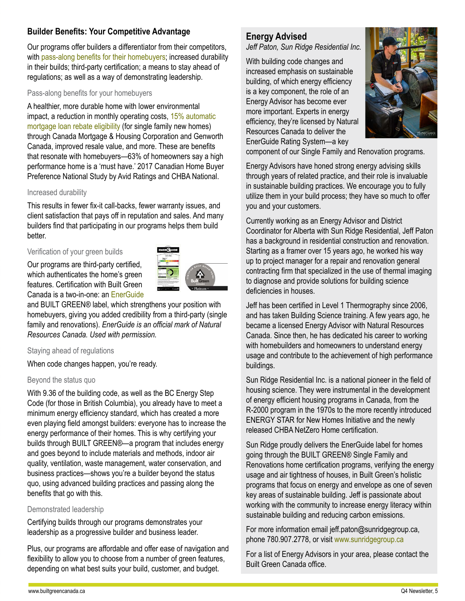## **Builder Benefits: Your Competitive Advantage**

Our programs offer builders a differentiator from their competitors, with [pass-along benefits for their homebuyers](http://builtgreencanada.ca/homeowner-benefits); increased durability in their builds; third-party certification; a means to stay ahead of regulations; as well as a way of demonstrating leadership.

#### Pass-along benefits for your homebuyers

A healthier, more durable home with lower environmental impact, a reduction in monthly operating costs, [15% automatic](http://builtgreencanada.ca/mortgage-rebates)  [mortgage loan rebate eligibility](http://builtgreencanada.ca/mortgage-rebates) (for single family new homes) through Canada Mortgage & Housing Corporation and Genworth Canada, improved resale value, and more. These are benefits that resonate with homebuyers—63% of homeowners say a high performance home is a 'must have.' 2017 Canadian Home Buyer Preference National Study by Avid Ratings and CHBA National.

#### Increased durability

This results in fewer fix-it call-backs, fewer warranty issues, and client satisfaction that pays off in reputation and sales. And many builders find that participating in our programs helps them build better.

#### Verification of your green builds

Our programs are third-party certified, which authenticates the home's green features. Certification with Built Green Canada is a two-in-one: an [EnerGuide](http://www.nrcan.gc.ca/energy/efficiency/housing/new-homes/5035)



and BUILT GREEN® label, which strengthens your position with homebuyers, giving you added credibility from a third-party (single family and renovations). *EnerGuide is an official mark of Natural Resources Canada. Used with permission.*

#### Staying ahead of regulations

When code changes happen, you're ready.

#### Beyond the status quo

With 9.36 of the building code, as well as the BC Energy Step Code (for those in British Columbia), you already have to meet a minimum energy efficiency standard, which has created a more even playing field amongst builders: everyone has to increase the energy performance of their homes. This is why certifying your builds through BUILT GREEN®—a program that includes energy and goes beyond to include materials and methods, indoor air quality, ventilation, waste management, water conservation, and business practices—shows you're a builder beyond the status quo, using advanced building practices and passing along the benefits that go with this.

### Demonstrated leadership

Certifying builds through our programs demonstrates your leadership as a progressive builder and business leader.

Plus, our programs are affordable and offer ease of navigation and flexibility to allow you to choose from a number of green features, depending on what best suits your build, customer, and budget.

## **Energy Advised**

*Jeff Paton, Sun Ridge Residential Inc.*

With building code changes and increased emphasis on sustainable building, of which energy efficiency is a key component, the role of an Energy Advisor has become ever more important. Experts in energy efficiency, they're licensed by Natural Resources Canada to deliver the EnerGuide Rating System—a key



component of our Single Family and Renovation programs.

Energy Advisors have honed strong energy advising skills through years of related practice, and their role is invaluable in sustainable building practices. We encourage you to fully utilize them in your build process; they have so much to offer you and your customers.

Currently working as an Energy Advisor and District Coordinator for Alberta with Sun Ridge Residential, Jeff Paton has a background in residential construction and renovation. Starting as a framer over 15 years ago, he worked his way up to project manager for a repair and renovation general contracting firm that specialized in the use of thermal imaging to diagnose and provide solutions for building science deficiencies in houses.

Jeff has been certified in Level 1 Thermography since 2006, and has taken Building Science training. A few years ago, he became a licensed Energy Advisor with Natural Resources Canada. Since then, he has dedicated his career to working with homebuilders and homeowners to understand energy usage and contribute to the achievement of high performance buildings.

Sun Ridge Residential Inc. is a national pioneer in the field of housing science. They were instrumental in the development of energy efficient housing programs in Canada, from the R-2000 program in the 1970s to the more recently introduced ENERGY STAR for New Homes Initiative and the newly released CHBA NetZero Home certification.

Sun Ridge proudly delivers the EnerGuide label for homes going through the BUILT GREEN® Single Family and Renovations home certification programs, verifying the energy usage and air tightness of houses, in Built Green's holistic programs that focus on energy and envelope as one of seven key areas of sustainable building. Jeff is passionate about working with the community to increase energy literacy within sustainable building and reducing carbon emissions.

For more information email jeff.paton@sunridgegroup.ca, phone 780.907.2778, or visit [www.sunridgegroup.ca](http://www.sunridgegroup.ca)

For a list of Energy Advisors in your area, please contact the Built Green Canada office.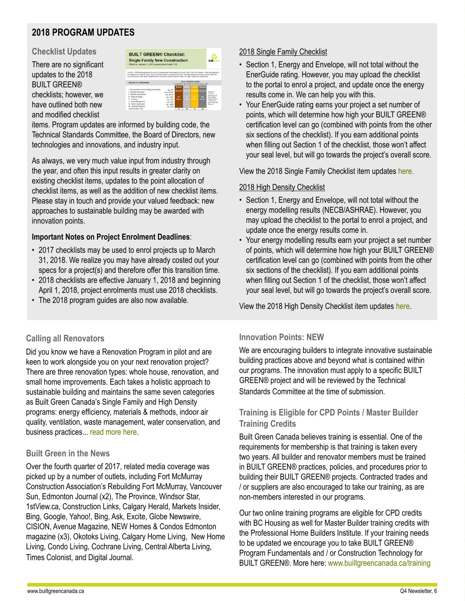# **2018 PROGRAM UPDATES**

### **Checklist Updates**

There are no significant updates to the 2018 BUILT GREEN® checklists; however, we have outlined both new and modified checklist



items. Program updates are informed by building code, the Technical Standards Committee, the Board of Directors, new technologies and innovations, and industry input.

As always, we very much value input from industry through the year, and often this input results in greater clarity on existing checklist items, updates to the point allocation of checklist items, as well as the addition of new checklist items. Please stay in touch and provide your valued feedback: new approaches to sustainable building may be awarded with innovation points.

### **Important Notes on Project Enrolment Deadlines**:

- 2017 checklists may be used to enrol projects up to March 31, 2018. We realize you may have already costed out your specs for a project(s) and therefore offer this transition time.
- 2018 checklists are effective January 1, 2018 and beginning April 1, 2018, project enrolments must use 2018 checklists.
- The 2018 program guides are also now available.

## 2018 Single Family Checklist

- Section 1, Energy and Envelope, will not total without the EnerGuide rating. However, you may upload the checklist to the portal to enrol a project, and update once the energy results come in. We can help you with this.
- Your EnerGuide rating earns your project a set number of points, which will determine how high your BUILT GREEN® certification level can go (combined with points from the other six sections of the checklist). If you earn additional points when filling out Section 1 of the checklist, those won't affect your seal level, but will go towards the project's overall score.

View the 2018 Single Family Checklist item updates [here.](http://www.builtgreencanada.ca/program-updates-2018-single-family-checklist?id=1456)

### 2018 High Density Checklist

- Section 1, Energy and Envelope, will not total without the energy modelling results (NECB/ASHRAE). However, you may upload the checklist to the portal to enrol a project, and update once the energy results come in.
- Your energy modelling results earn your project a set number of points, which will determine how high your BUILT GREEN® certification level can go (combined with points from the other six sections of the checklist). If you earn additional points when filling out Section 1 of the checklist, those won't affect your seal level, but will go towards the project's overall score.

View the 2018 High Density Checklist item updates [here.](http://www.builtgreencanada.ca/program-updates-2018-high-density-checklist?id=1456)

## **Calling all Renovators**

Did you know we have a Renovation Program in pilot and are keen to work alongside you on your next renovation project? There are three renovation types: whole house, renovation, and small home improvements. Each takes a holistic approach to sustainable building and maintains the same seven categories as Built Green Canada's Single Family and High Density programs: energy efficiency, materials & methods, indoor air quality, ventilation, waste management, water conservation, and business practices... [read more here](http://www.builtgreencanada.ca/built-green-canada-launches-renovation-program-pilot?id=1456).

### **Built Green in the News**

Over the fourth quarter of 2017, related media coverage was picked up by a number of outlets, including Fort McMurray Construction Association's Rebuilding Fort McMurray, Vancouver Sun, Edmonton Journal (x2), The Province, Windsor Star, 1stView.ca, Construction Links, Calgary Herald, Markets Insider, Bing, Google, Yahoo!, Bing, Ask, Excite, Globe Newswire, CISION, Avenue Magazine, NEW Homes & Condos Edmonton magazine (x3), Okotoks Living, Calgary Home Living, New Home Living, Condo Living, Cochrane Living, Central Alberta Living, Times Colonist, and Digital Journal.

## **Innovation Points: NEW**

We are encouraging builders to integrate innovative sustainable building practices above and beyond what is contained within our programs. The innovation must apply to a specific BUILT GREEN® project and will be reviewed by the Technical Standards Committee at the time of submission.

## **Training is Eligible for CPD Points / Master Builder Training Credits**

Built Green Canada believes training is essential. One of the requirements for membership is that training is taken every two years. All builder and renovator members must be trained in BUILT GREEN® practices, policies, and procedures prior to building their BUILT GREEN® projects. Contracted trades and / or suppliers are also encouraged to take our training, as are non-members interested in our programs.

Our two online training programs are eligible for CPD credits with BC Housing as well for Master Builder training credits with the Professional Home Builders Institute. If your training needs to be updated we encourage you to take BUILT GREEN® Program Fundamentals and / or Construction Technology for BUILT GREEN®. More here: [www.builtgreencanada.ca/training](http://www.builtgreencanada.ca/training)